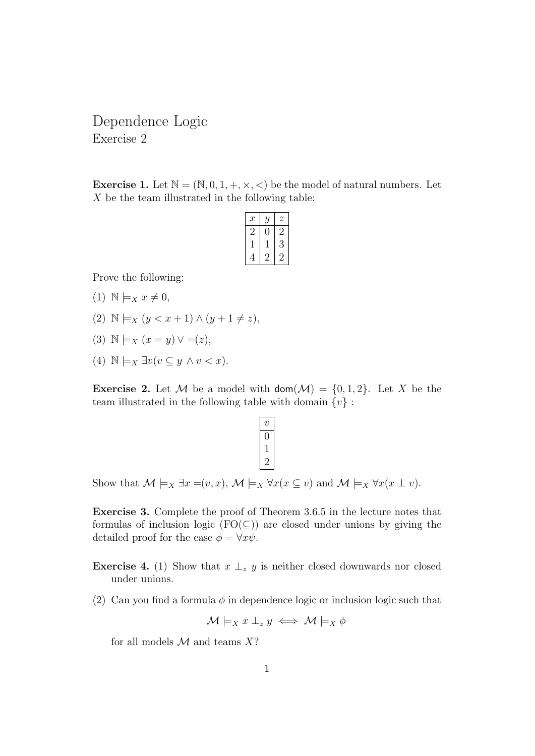Dependence Logic Exercise 2

**Exercise 1.** Let  $\mathbb{N} = (\mathbb{N}, 0, 1, +, \times, \times)$  be the model of natural numbers. Let  $X$  be the team illustrated in the following table:

| $\boldsymbol{x}$ | Y | Z |
|------------------|---|---|
| $\cdot$          |   | 2 |
|                  |   | 3 |
|                  |   |   |

Prove the following:

- $(1)$   $\mathbb{N} \models_X x \neq 0,$
- (2)  $\mathbb{N} \models_X (y < x + 1) \land (y + 1 \neq z),$
- (3)  $\mathbb{N} \models_X (x = y) \vee = (z)$ ,
- (4)  $\mathbb{N} \models_X \exists v (v \subseteq y \land v < x).$

**Exercise 2.** Let M be a model with  $\text{dom}(\mathcal{M}) = \{0, 1, 2\}$ . Let X be the team illustrated in the following table with domain  $\{v\}$ :

| $\, v \,$ |  |
|-----------|--|
|           |  |
|           |  |
| ٠.<br>٬   |  |

Show that  $\mathcal{M} \models_X \exists x = (v, x), \mathcal{M} \models_X \forall x (x \subseteq v)$  and  $\mathcal{M} \models_X \forall x (x \perp v)$ .

Exercise 3. Complete the proof of Theorem 3.6.5 in the lecture notes that formulas of inclusion logic ( $FO(\subseteq)$ ) are closed under unions by giving the detailed proof for the case  $\phi = \forall x \psi$ .

**Exercise 4.** (1) Show that  $x \perp_z y$  is neither closed downwards nor closed under unions.

(2) Can you find a formula  $\phi$  in dependence logic or inclusion logic such that

$$
\mathcal{M}\models_X x\perp_z y \iff \mathcal{M}\models_X \phi
$$

for all models  $\mathcal M$  and teams  $X$ ?